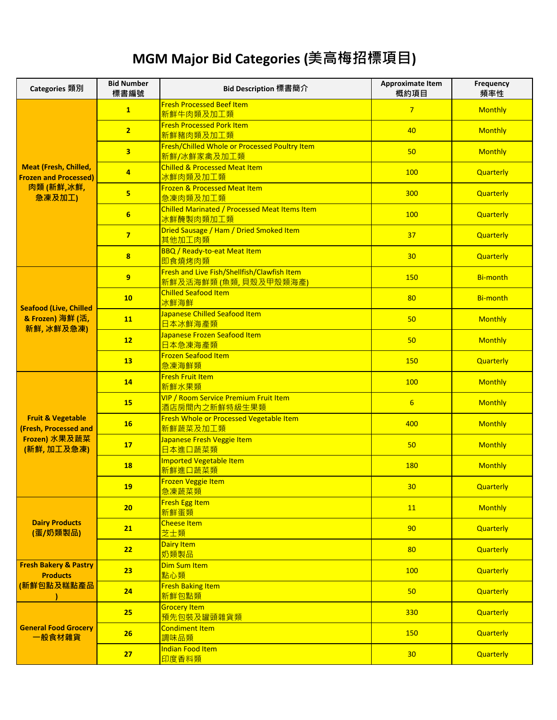## **MGM Major Bid Categories (美高梅招標項目)**

| Categories 類別                                                     | <b>Bid Number</b><br>標書編號 | Bid Description 標書簡介                                                               | <b>Approximate Item</b><br>概約項目 | Frequency<br>頻率性 |
|-------------------------------------------------------------------|---------------------------|------------------------------------------------------------------------------------|---------------------------------|------------------|
|                                                                   | $\mathbf{1}$              | <b>Fresh Processed Beef Item</b><br>新鮮牛肉類及加工類                                      | $\overline{7}$                  | <b>Monthly</b>   |
|                                                                   | $\overline{2}$            | <b>Fresh Processed Pork Item</b><br>新鮮豬肉類及加工類                                      | 40                              | <b>Monthly</b>   |
|                                                                   | 3                         | Fresh/Chilled Whole or Processed Poultry Item<br>新鮮/冰鮮家禽及加工類                       | 50                              | <b>Monthly</b>   |
| <b>Meat (Fresh, Chilled,</b><br><b>Frozen and Processed)</b>      | 4                         | <b>Chilled &amp; Processed Meat Item</b><br>冰鮮肉類及加工類                               | 100                             | Quarterly        |
| 肉類(新鮮,冰鮮,<br>急凍及加工)                                               | 5                         | Frozen & Processed Meat Item<br>急凍肉類及加工類                                           | 300                             | Quarterly        |
|                                                                   | $6\phantom{1}$            | <b>Chilled Marinated / Processed Meat Items Item</b><br>冰鮮醃製肉類加工類                  | 100                             | Quarterly        |
|                                                                   | $\overline{7}$            | Dried Sausage / Ham / Dried Smoked Item<br>其他加工肉類                                  | 37                              | Quarterly        |
|                                                                   | 8                         | <b>BBQ</b> / Ready-to-eat Meat Item<br>即食燒烤肉類                                      | 30                              | Quarterly        |
|                                                                   | 9                         | Fresh and Live Fish/Shellfish/Clawfish Item<br><mark>新鮮及活海鮮類 (魚類, 貝殼及甲殼類海產)</mark> | 150                             | <b>Bi-month</b>  |
| <b>Seafood (Live, Chilled</b>                                     | 10                        | <b>Chilled Seafood Item</b><br>冰鮮海鮮                                                | 80                              | <b>Bi-month</b>  |
| & Frozen) 海鮮 (活,<br>新鮮,冰鮮及急凍)                                     | 11                        | Japanese Chilled Seafood Item<br>日本冰鮮海產類                                           | 50                              | <b>Monthly</b>   |
|                                                                   | 12                        | Japanese Frozen Seafood Item<br>日本急凍海產類                                            | 50                              | <b>Monthly</b>   |
|                                                                   | 13                        | <b>Frozen Seafood Item</b><br>急凍海鮮類                                                | 150                             | Quarterly        |
|                                                                   | 14                        | <b>Fresh Fruit Item</b><br>新鮮水果類                                                   | 100                             | <b>Monthly</b>   |
|                                                                   | 15                        | VIP / Room Service Premium Fruit Item<br>酒店房間內之新鮮特級生果類                             | $6 \overline{6}$                | <b>Monthly</b>   |
| <b>Fruit &amp; Vegetable</b><br>(Fresh, Processed and             | <b>16</b>                 | Fresh Whole or Processed Vegetable Item<br>新鮮蔬菜及加工類                                | 400                             | Monthly          |
| Frozen) 水果及蔬菜<br>(新鮮,加工及急凍)                                       | 17                        | Japanese Fresh Veggie Item<br>日本進口蔬菜類                                              | 50                              | <b>Monthly</b>   |
|                                                                   | <b>18</b>                 | <b>Imported Vegetable Item</b><br>新鮮進口蔬菜類                                          | <b>180</b>                      | <b>Monthly</b>   |
|                                                                   | <b>19</b>                 | Frozen Veggie Item<br><mark>急凍蔬菜類</mark>                                           | 30                              | Quarterly        |
| <b>Dairy Products</b><br>(蛋/奶類製品)                                 | 20                        | <b>Fresh Egg Item</b><br>新鮮蛋類                                                      | 11                              | <b>Monthly</b>   |
|                                                                   | 21                        | <b>Cheese Item</b><br>芝士類                                                          | 90                              | Quarterly        |
|                                                                   | 22                        | <b>Dairy Item</b><br>奶類製品                                                          | 80                              | Quarterly        |
| <b>Fresh Bakery &amp; Pastry</b><br><b>Products</b><br>(新鮮包點及糕點產品 | 23                        | <b>Dim Sum Item</b><br>點心類                                                         | 100                             | Quarterly        |
|                                                                   | 24                        | <b>Fresh Baking Item</b><br>新鮮包點類                                                  | 50                              | Quarterly        |
| <b>General Food Grocery</b><br>一般食材雜貨                             | 25                        | <b>Grocery Item</b><br>預先包裝及罐頭雜貨類                                                  | 330                             | <b>Quarterly</b> |
|                                                                   | 26                        | <b>Condiment Item</b><br>調味品類                                                      | <b>150</b>                      | <b>Quarterly</b> |
|                                                                   | 27                        | <b>Indian Food Item</b><br>印度香料類                                                   | 30                              | <b>Quarterly</b> |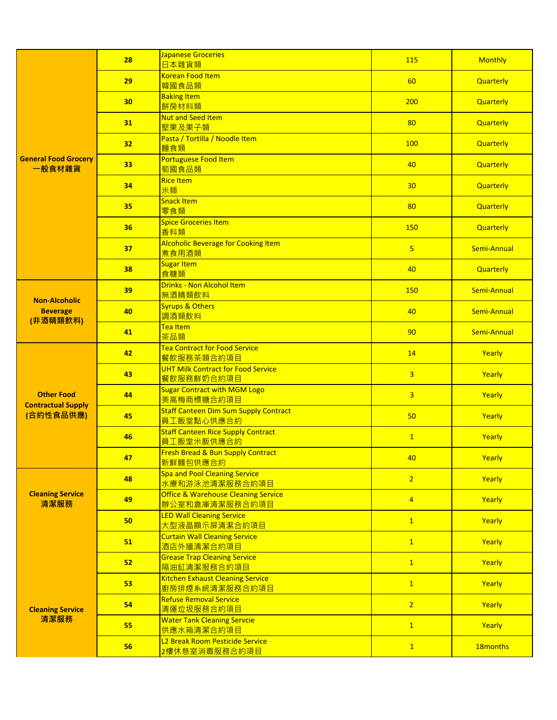|                                         | 28              | Japanese Groceries<br>日本雜貨類                                      | 115            | <b>Monthly</b>       |
|-----------------------------------------|-----------------|------------------------------------------------------------------|----------------|----------------------|
|                                         | 29              | <b>Korean Food Item</b><br>韓國食品類                                 | 60             | Quarterly            |
|                                         | 30              | <b>Baking Item</b><br>餅房材料類                                      | 200            | Quarterly            |
|                                         | 31              | <b>Nut and Seed Item</b><br>堅果及果子類                               | 80             | <b>Quarterly</b>     |
|                                         | 32 <sub>2</sub> | Pasta / Tortilla / Noodle Item<br>麵食類                            | 100            | Quarterly            |
| <b>General Food Grocery</b><br>一般食材雜貨   | 33              | Portuguese Food Item<br>萄國食品類                                    | 40             | Quarterly            |
|                                         | 34              | <b>Rice Item</b><br>米類                                           | 30             | <b>Quarterly</b>     |
|                                         | 35              | Snack Item<br>零食類                                                | 80             | <b>Quarterly</b>     |
|                                         | 36              | <b>Spice Groceries Item</b><br>香料類                               | 150            | <b>Quarterly</b>     |
|                                         | 37              | <b>Alcoholic Beverage for Cooking Item</b><br>煮食用酒類              | $\overline{5}$ | Semi-Annual          |
|                                         | 38              | Sugar Item<br>食糖類                                                | 40             | <b>Quarterly</b>     |
|                                         | 39              | <b>Drinks - Non Alcohol Item</b><br>無酒精類飲料                       | 150            | Semi-Annual          |
| <b>Non-Alcoholic</b><br><b>Beverage</b> | 40              | Syrups & Others<br>調酒類飲料                                         | 40             | Semi-Annual          |
| (非酒精類飲料)                                | 41              | Tea Item<br>茶品類                                                  | 90             | Semi-Annual          |
|                                         | 42              | Tea Contract for Food Service<br>餐飲服務茶類合約項目                      | 14             | Yearly               |
|                                         | 43              | <b>UHT Milk Contract for Food Service</b><br>餐飲服務鮮奶合約項目          | $\overline{3}$ | Yearly               |
| <b>Other Food</b>                       | 44              | <b>Sugar Contract with MGM Logo</b><br>美高梅商標糖合約項目                | $\overline{3}$ | Yearly               |
| <b>Contractual Supply</b><br>(合約性食品供應)  | 45              | <b>Staff Canteen Dim Sum Supply Contract</b><br>員工飯堂點心供應合約       | 50             | Yearly               |
|                                         | 46              | <b>Staff Canteen Rice Supply Contract</b><br>員工飯堂米飯供應合約          | $\overline{1}$ | Yearly               |
|                                         | 47              | <b>Fresh Bread &amp; Bun Supply Contract</b><br>新鮮麵包供應合約         | 40             | Yearly               |
| <b>Cleaning Service</b><br>清潔服務         | 48              | Spa and Pool Cleaning Service<br>水療和游泳池清潔服務合約項目                  | $\overline{2}$ | Yearly               |
|                                         | 49              | <b>Office &amp; Warehouse Cleaning Service</b><br>辦公室和倉庫清潔服務合約項目 | $\overline{4}$ | Yearly               |
|                                         | 50              | <b>LED Wall Cleaning Service</b><br>大型液晶顯示屏清潔合約項目                | $\mathbf{1}$   | Yearly               |
|                                         | 51              | <b>Curtain Wall Cleaning Service</b><br>酒店外牆清潔合約項目               | $\overline{1}$ | Yearly               |
|                                         | 52              | <b>Grease Trap Cleaning Service</b><br>隔油缸清潔服務合約項目               | $\overline{1}$ | Yearly               |
| <b>Cleaning Service</b><br>清潔服務         | 53              | <b>Kitchen Exhaust Cleaning Service</b><br>廚房排煙系統清潔服務合約項目        | $\mathbf{1}$   | Yearly               |
|                                         | 54              | <b>Refuse Removal Service</b><br><mark>清運垃圾服務合約項目</mark>         | $\overline{2}$ | Yearly               |
|                                         | 55              | <b>Water Tank Cleaning Servcie</b><br>供應水箱清潔合約項目                 | $\mathbf{1}$   | Yearly               |
|                                         | 56              | L2 Break Room Pesticide Service<br>2樓休息室消毒服務合約項目                 | $\overline{1}$ | 18 <sub>months</sub> |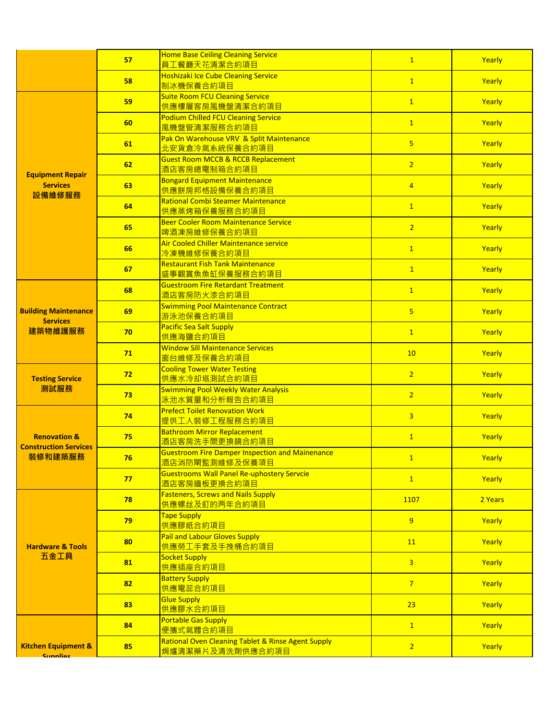|                                                   | 57 | <b>Home Base Ceiling Cleaning Service</b><br>員工餐廳天花清潔合約項目                | $\overline{1}$ | Yearly  |
|---------------------------------------------------|----|--------------------------------------------------------------------------|----------------|---------|
|                                                   | 58 | <b>Hoshizaki Ice Cube Cleaning Service</b><br>制冰機保養合約項目                  | $\overline{1}$ | Yearly  |
|                                                   | 59 | <b>Suite Room FCU Cleaning Service</b><br><mark>供應樓層客房風機盤清潔合約項目</mark>   | 1              | Yearly  |
|                                                   | 60 | <b>Podium Chilled FCU Cleaning Service</b><br>風機盤管清潔服務合約項目               | $\overline{1}$ | Yearly  |
|                                                   | 61 | Pak On Warehouse VRV & Split Maintenance<br>北安貨倉冷氣系統保養合約項目               | 5 <sup>1</sup> | Yearly  |
|                                                   | 62 | <b>Guest Room MCCB &amp; RCCB Replacement</b><br>酒店客房總電制箱合約項目            | $\overline{2}$ | Yearly  |
| <b>Equipment Repair</b><br><b>Services</b>        | 63 | <b>Bongard Equipment Maintenance</b><br><mark>供應餅房邦格設備保養合約項目</mark>      | $\overline{4}$ | Yearly  |
| 設備維修服務                                            | 64 | <b>Rational Combi Steamer Maintenance</b><br>供應蒸烤箱保養服務合約項目               | $\mathbf{1}$   | Yearly  |
|                                                   | 65 | <b>Beer Cooler Room Maintenance Service</b><br>啤酒凍房維修保養合約項目              | $\overline{2}$ | Yearly  |
|                                                   | 66 | Air Cooled Chiller Maintenance service<br><mark>冷凍機維修保養合約項目</mark>       | $\overline{1}$ | Yearly  |
|                                                   | 67 | <b>Restaurant Fish Tank Maintenance</b><br>盛事觀賞魚魚缸保養服務合約項目               | $\overline{1}$ | Yearly  |
|                                                   | 68 | <b>Guestroom Fire Retardant Treatment</b><br>酒店客房防火漆合約項目                 | $\mathbf{1}$   | Yearly  |
| <b>Building Maintenance</b>                       | 69 | <b>Swimming Pool Maintenance Contract</b><br>游泳池保養合約項目                   | $\overline{5}$ | Yearly  |
| <b>Services</b><br>建築物維護服務                        | 70 | <b>Pacific Sea Salt Supply</b><br>供應海鹽合約項目                               | 1              | Yearly  |
|                                                   | 71 | <b>Window Sill Maintenance Services</b><br>窗台維修及保養合約項目                   | 10             | Yearly  |
| <b>Testing Service</b>                            | 72 | <b>Cooling Tower Water Testing</b><br>供應水冷却塔測試合約項目                       | $\overline{2}$ | Yearly  |
| 測試服務                                              | 73 | <b>Swimming Pool Weekly Water Analysis</b><br>泳池水質量和分析報告合約項目             | 2 <sup>1</sup> | Yearly  |
|                                                   | 74 | <b>Prefect Toilet Renovation Work</b><br>提供工人裝修工程服務合約項目                  | $\overline{3}$ | Yearly  |
| <b>Renovation &amp;</b>                           | 75 | <b>Bathroom Mirror Replacement</b><br>酒店客房洗手間更換鏡合約項目                     | $\mathbf{1}$   | Yearly  |
| <b>Construction Services</b><br>裝修和建築服務           | 76 | <b>Guestroom Fire Damper Inspection and Mainenance</b><br>酒店消防閘監測維修及保養項目 | $\overline{1}$ | Yearly  |
|                                                   | 77 | <b>Guestrooms Wall Panel Re-uphostery Servcie</b><br>酒店客房牆板更換合約項目        | $\overline{1}$ | Yearly  |
|                                                   | 78 | <b>Fasteners, Screws and Nails Supply</b><br><mark>供應螺丝及釘的两年合約項目</mark>  | 1107           | 2 Years |
| <b>Hardware &amp; Tools</b><br>五金工具               | 79 | Tape Supply<br>供應膠紙合約項目                                                  | 9              | Yearly  |
|                                                   | 80 | <b>Pail and Labour Gloves Supply</b><br>供應勞工手套及手挽桶合約項目                   | 11             | Yearly  |
|                                                   | 81 | Socket Supply<br>供應插座合約項目                                                | $\overline{3}$ | Yearly  |
|                                                   | 82 | <b>Battery Supply</b><br>供應電蕊合約項目                                        | 7 <sup>2</sup> | Yearly  |
|                                                   | 83 | <b>Glue Supply</b><br>供應膠水合約項目                                           | 23             | Yearly  |
|                                                   | 84 | <b>Portable Gas Supply</b><br>便攜式氣體合約項目                                  | $\mathbf{1}$   | Yearly  |
| <b>Kitchen Equipment &amp;</b><br><b>Cunnline</b> | 85 | Rational Oven Cleaning Tablet & Rinse Agent Supply<br>焗爐清潔藥片及清洗劑供應合約項目   | 2 <sup>1</sup> | Yearly  |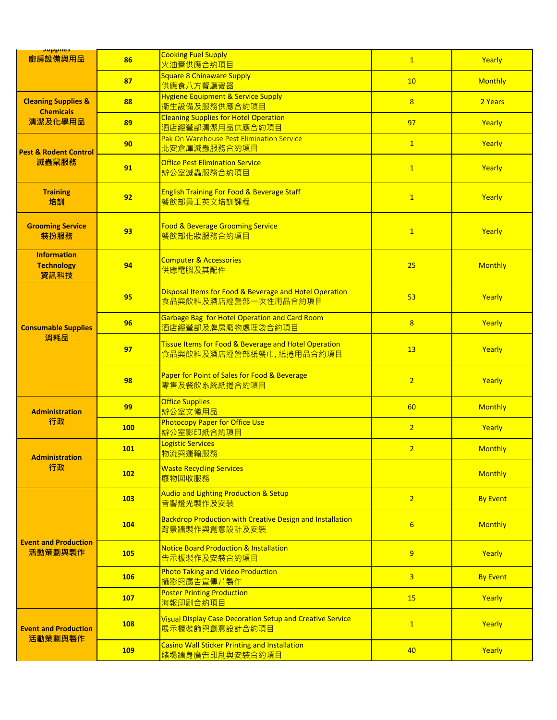| <b>Supplies</b><br>廚房設備與用品                                    | 86         | <b>Cooking Fuel Supply</b><br>火油膏供應合約項目                                            | $\overline{1}$   | Yearly          |
|---------------------------------------------------------------|------------|------------------------------------------------------------------------------------|------------------|-----------------|
|                                                               | 87         | <b>Square 8 Chinaware Supply</b><br>供應食八方餐廳瓷器                                      | 10               | <b>Monthly</b>  |
| <b>Cleaning Supplies &amp;</b><br><b>Chemicals</b><br>清潔及化學用品 | 88         | <b>Hygiene Equipment &amp; Service Supply</b><br>衛生設備及服務供應合約項目                     | 8 <sup>2</sup>   | 2 Years         |
|                                                               | 89         | <b>Cleaning Supplies for Hotel Operation</b><br>酒店經營部清潔用品供應合約項目                    | 97               | Yearly          |
| <b>Pest &amp; Rodent Control</b><br>滅蟲鼠服務                     | 90         | Pak On Warehouse Pest Elimination Service<br>北安倉庫滅蟲服務合約項目                          | $\overline{1}$   | Yearly          |
|                                                               | 91         | <b>Office Pest Elimination Service</b><br>辦公室滅蟲服務合約項目                              | $\overline{1}$   | Yearly          |
| <b>Training</b><br>培訓                                         | 92         | <b>English Training For Food &amp; Beverage Staff</b><br>餐飲部員工英文培訓課程               | $\overline{1}$   | Yearly          |
| <b>Grooming Service</b><br>裝扮服務                               | 93         | <b>Food &amp; Beverage Grooming Service</b><br>餐飲部化妝服務合約項目                         | $\mathbf{1}$     | Yearly          |
| <b>Information</b><br><b>Technology</b><br>資訊科技               | 94         | <b>Computer &amp; Accessories</b><br>供應電腦及其配件                                      | 25               | <b>Monthly</b>  |
|                                                               | 95         | Disposal Items for Food & Beverage and Hotel Operation<br>食品與飲料及酒店經營部一次性用品合約項目     | 53               | Yearly          |
| <b>Consumable Supplies</b>                                    | 96         | Garbage Bag for Hotel Operation and Card Room<br>酒店經營部及牌房廢物處理袋合約項目                 | 8                | Yearly          |
| 消耗品                                                           | 97         | Tissue Items for Food & Beverage and Hotel Operation<br>食品與飲料及酒店經營部紙餐巾,紙捲用品合約項目    | 13               | Yearly          |
|                                                               | 98         | Paper for Point of Sales for Food & Beverage<br>零售及餐飲系統紙捲合約項目                      | $\overline{2}$   | Yearly          |
| <b>Administration</b>                                         | 99         | <b>Office Supplies</b><br>辦公室文儀用品                                                  | 60               | <b>Monthly</b>  |
| 行政                                                            | <b>100</b> | <b>Photocopy Paper for Office Use</b><br>辦公室影印紙合約項目                                | $\overline{2}$   | Yearly          |
| <b>Administration</b>                                         | <b>101</b> | <b>Logistic Services</b><br>物流與運輸服務                                                | $\overline{2}$   | <b>Monthly</b>  |
| 行政                                                            | 102        | <b>Waste Recycling Services</b><br>廢物回收服務                                          |                  | <b>Monthly</b>  |
|                                                               | 103        | <b>Audio and Lighting Production &amp; Setup</b><br>音響燈光製作及安裝                      | 2 <sup>2</sup>   | <b>By Event</b> |
| <b>Event and Production</b><br>活動策劃與製作                        | 104        | Backdrop Production with Creative Design and Installation<br>背景牆製作與創意設計及安裝         | $6 \overline{6}$ | <b>Monthly</b>  |
|                                                               | <b>105</b> | <b>Notice Board Production &amp; Installation</b><br>告示板製作及安裝合約項目                  | $\overline{9}$   | Yearly          |
|                                                               | <b>106</b> | <b>Photo Taking and Video Production</b><br>攝影與廣告宣傳片製作                             | $\overline{3}$   | <b>By Event</b> |
|                                                               | 107        | <b>Poster Printing Production</b><br>海報印刷合約項目                                      | 15               | Yearly          |
| <b>Event and Production</b><br>活動策劃與製作                        | <b>108</b> | <b>Visual Display Case Decoration Setup and Creative Service</b><br>展示櫃裝飾與創意設計合約項目 | $\mathbf{1}$     | Yearly          |
|                                                               | <b>109</b> | <b>Casino Wall Sticker Printing and Installation</b><br>賭場牆身廣告印刷與安裝合約項目            | 40               | Yearly          |